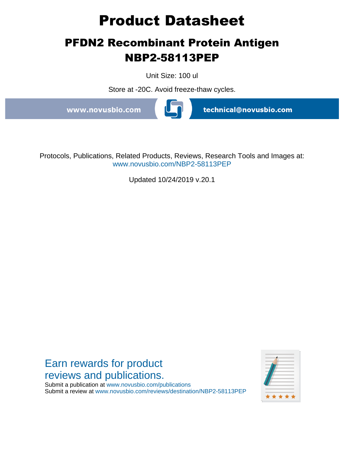# **Product Datasheet**

# **PFDN2 Recombinant Protein Antigen NBP2-58113PEP**

Unit Size: 100 ul

Store at -20C. Avoid freeze-thaw cycles.

www.novusbio.com



technical@novusbio.com

Protocols, Publications, Related Products, Reviews, Research Tools and Images at: www.novusbio.com/NBP2-58113PEP

Updated 10/24/2019 v.20.1



Submit a publication at www.novusbio.com/publications Submit a review at www.novusbio.com/reviews/destination/NBP2-58113PEP

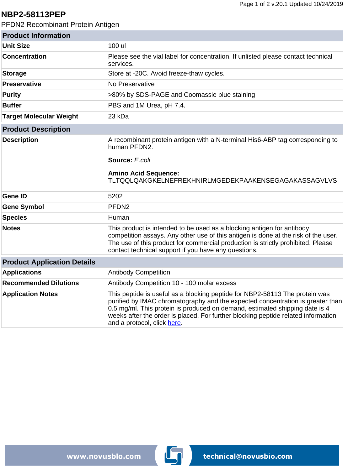### **NBP2-58113PEP**

PFDN2 Recombinant Protein Antigen

| <b>Product Information</b>         |                                                                                                                                                                                                                                                                                                                                                                  |
|------------------------------------|------------------------------------------------------------------------------------------------------------------------------------------------------------------------------------------------------------------------------------------------------------------------------------------------------------------------------------------------------------------|
| <b>Unit Size</b>                   | 100 ul                                                                                                                                                                                                                                                                                                                                                           |
| <b>Concentration</b>               | Please see the vial label for concentration. If unlisted please contact technical<br>services.                                                                                                                                                                                                                                                                   |
| <b>Storage</b>                     | Store at -20C. Avoid freeze-thaw cycles.                                                                                                                                                                                                                                                                                                                         |
| <b>Preservative</b>                | No Preservative                                                                                                                                                                                                                                                                                                                                                  |
| <b>Purity</b>                      | >80% by SDS-PAGE and Coomassie blue staining                                                                                                                                                                                                                                                                                                                     |
| <b>Buffer</b>                      | PBS and 1M Urea, pH 7.4.                                                                                                                                                                                                                                                                                                                                         |
| <b>Target Molecular Weight</b>     | 23 kDa                                                                                                                                                                                                                                                                                                                                                           |
| <b>Product Description</b>         |                                                                                                                                                                                                                                                                                                                                                                  |
| <b>Description</b>                 | A recombinant protein antigen with a N-terminal His6-ABP tag corresponding to<br>human PFDN2.<br>Source: E.coli<br><b>Amino Acid Sequence:</b><br>TLTQQLQAKGKELNEFREKHNIRLMGEDEKPAAKENSEGAGAKASSAGVLVS                                                                                                                                                           |
| <b>Gene ID</b>                     | 5202                                                                                                                                                                                                                                                                                                                                                             |
| <b>Gene Symbol</b>                 | PFDN <sub>2</sub>                                                                                                                                                                                                                                                                                                                                                |
| <b>Species</b>                     | Human                                                                                                                                                                                                                                                                                                                                                            |
| <b>Notes</b>                       | This product is intended to be used as a blocking antigen for antibody<br>competition assays. Any other use of this antigen is done at the risk of the user.<br>The use of this product for commercial production is strictly prohibited. Please<br>contact technical support if you have any questions.                                                         |
| <b>Product Application Details</b> |                                                                                                                                                                                                                                                                                                                                                                  |
| <b>Applications</b>                | <b>Antibody Competition</b>                                                                                                                                                                                                                                                                                                                                      |
| <b>Recommended Dilutions</b>       | Antibody Competition 10 - 100 molar excess                                                                                                                                                                                                                                                                                                                       |
| <b>Application Notes</b>           | This peptide is useful as a blocking peptide for NBP2-58113 The protein was<br>purified by IMAC chromatography and the expected concentration is greater than<br>0.5 mg/ml. This protein is produced on demand, estimated shipping date is 4<br>weeks after the order is placed. For further blocking peptide related information<br>and a protocol, click here. |